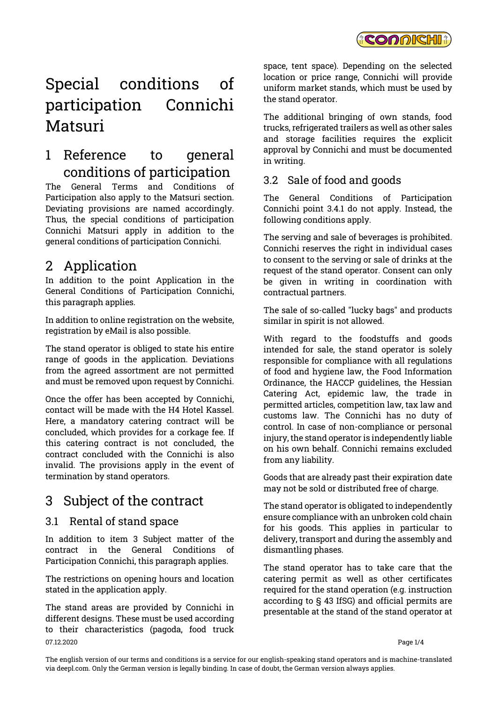

# Special conditions of participation Connichi Matsuri

# 1 Reference to general conditions of participation

The General Terms and Conditions of Participation also apply to the Matsuri section. Deviating provisions are named accordingly. Thus, the special conditions of participation Connichi Matsuri apply in addition to the general conditions of participation Connichi.

# 2 Application

In addition to the point Application in the General Conditions of Participation Connichi, this paragraph applies.

In addition to online registration on the website, registration by eMail is also possible.

The stand operator is obliged to state his entire range of goods in the application. Deviations from the agreed assortment are not permitted and must be removed upon request by Connichi.

Once the offer has been accepted by Connichi, contact will be made with the H4 Hotel Kassel. Here, a mandatory catering contract will be concluded, which provides for a corkage fee. If this catering contract is not concluded, the contract concluded with the Connichi is also invalid. The provisions apply in the event of termination by stand operators.

# 3 Subject of the contract

### 3.1 Rental of stand space

In addition to item 3 Subject matter of the contract in the General Conditions of Participation Connichi, this paragraph applies.

The restrictions on opening hours and location stated in the application apply.

07.12.2020 Page 1/4 The stand areas are provided by Connichi in different designs. These must be used according to their characteristics (pagoda, food truck

space, tent space). Depending on the selected location or price range, Connichi will provide uniform market stands, which must be used by the stand operator.

The additional bringing of own stands, food trucks, refrigerated trailers as well as other sales and storage facilities requires the explicit approval by Connichi and must be documented in writing.

### 3.2 Sale of food and goods

The General Conditions of Participation Connichi point 3.4.1 do not apply. Instead, the following conditions apply.

The serving and sale of beverages is prohibited. Connichi reserves the right in individual cases to consent to the serving or sale of drinks at the request of the stand operator. Consent can only be given in writing in coordination with contractual partners.

The sale of so-called "lucky bags" and products similar in spirit is not allowed.

With regard to the foodstuffs and goods intended for sale, the stand operator is solely responsible for compliance with all regulations of food and hygiene law, the Food Information Ordinance, the HACCP guidelines, the Hessian Catering Act, epidemic law, the trade in permitted articles, competition law, tax law and customs law. The Connichi has no duty of control. In case of non-compliance or personal injury, the stand operator is independently liable on his own behalf. Connichi remains excluded from any liability.

Goods that are already past their expiration date may not be sold or distributed free of charge.

The stand operator is obligated to independently ensure compliance with an unbroken cold chain for his goods. This applies in particular to delivery, transport and during the assembly and dismantling phases.

The stand operator has to take care that the catering permit as well as other certificates required for the stand operation (e.g. instruction according to § 43 IfSG) and official permits are presentable at the stand of the stand operator at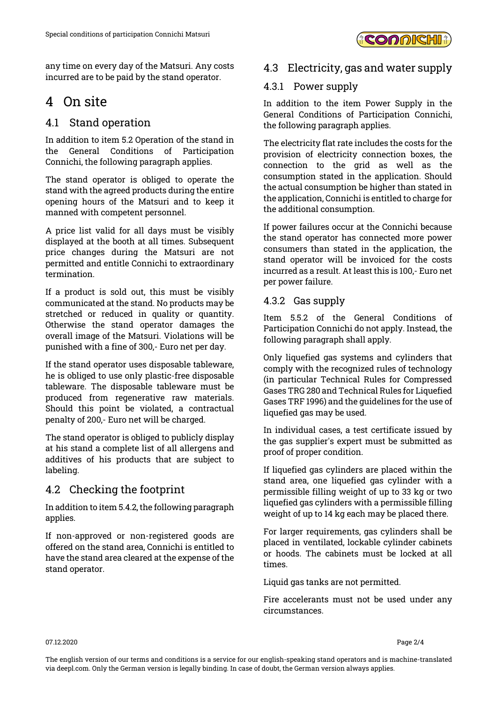

any time on every day of the Matsuri. Any costs incurred are to be paid by the stand operator.

# 4 On site

### 4.1 Stand operation

In addition to item 5.2 Operation of the stand in the General Conditions of Participation Connichi, the following paragraph applies.

The stand operator is obliged to operate the stand with the agreed products during the entire opening hours of the Matsuri and to keep it manned with competent personnel.

A price list valid for all days must be visibly displayed at the booth at all times. Subsequent price changes during the Matsuri are not permitted and entitle Connichi to extraordinary termination.

If a product is sold out, this must be visibly communicated at the stand. No products may be stretched or reduced in quality or quantity. Otherwise the stand operator damages the overall image of the Matsuri. Violations will be punished with a fine of 300,- Euro net per day.

If the stand operator uses disposable tableware, he is obliged to use only plastic-free disposable tableware. The disposable tableware must be produced from regenerative raw materials. Should this point be violated, a contractual penalty of 200,- Euro net will be charged.

The stand operator is obliged to publicly display at his stand a complete list of all allergens and additives of his products that are subject to labeling.

## 4.2 Checking the footprint

In addition to item 5.4.2, the following paragraph applies.

If non-approved or non-registered goods are offered on the stand area, Connichi is entitled to have the stand area cleared at the expense of the stand operator.

### 4.3 Electricity, gas and water supply

#### 4.3.1 Power supply

In addition to the item Power Supply in the General Conditions of Participation Connichi, the following paragraph applies.

The electricity flat rate includes the costs for the provision of electricity connection boxes, the connection to the grid as well as the consumption stated in the application. Should the actual consumption be higher than stated in the application, Connichi is entitled to charge for the additional consumption.

If power failures occur at the Connichi because the stand operator has connected more power consumers than stated in the application, the stand operator will be invoiced for the costs incurred as a result. At least this is 100,- Euro net per power failure.

#### 4.3.2 Gas supply

Item 5.5.2 of the General Conditions of Participation Connichi do not apply. Instead, the following paragraph shall apply.

Only liquefied gas systems and cylinders that comply with the recognized rules of technology (in particular Technical Rules for Compressed Gases TRG 280 and Technical Rules for Liquefied Gases TRF 1996) and the guidelines for the use of liquefied gas may be used.

In individual cases, a test certificate issued by the gas supplier's expert must be submitted as proof of proper condition.

If liquefied gas cylinders are placed within the stand area, one liquefied gas cylinder with a permissible filling weight of up to 33 kg or two liquefied gas cylinders with a permissible filling weight of up to 14 kg each may be placed there.

For larger requirements, gas cylinders shall be placed in ventilated, lockable cylinder cabinets or hoods. The cabinets must be locked at all times.

Liquid gas tanks are not permitted.

Fire accelerants must not be used under any circumstances.

07.12.2020 Page 2/4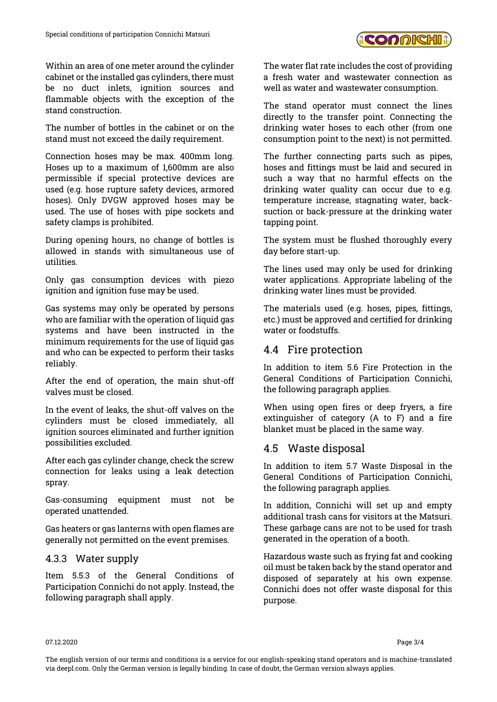Within an area of one meter around the cylinder cabinet or the installed gas cylinders, there must be no duct inlets, ignition sources and flammable objects with the exception of the stand construction.

The number of bottles in the cabinet or on the stand must not exceed the daily requirement.

Connection hoses may be max. 400mm long. Hoses up to a maximum of 1,600mm are also permissible if special protective devices are used (e.g. hose rupture safety devices, armored hoses). Only DVGW approved hoses may be used. The use of hoses with pipe sockets and safety clamps is prohibited.

During opening hours, no change of bottles is allowed in stands with simultaneous use of utilities.

Only gas consumption devices with piezo ignition and ignition fuse may be used.

Gas systems may only be operated by persons who are familiar with the operation of liquid gas systems and have been instructed in the minimum requirements for the use of liquid gas and who can be expected to perform their tasks reliably.

After the end of operation, the main shut-off valves must be closed.

In the event of leaks, the shut-off valves on the cylinders must be closed immediately, all ignition sources eliminated and further ignition possibilities excluded.

After each gas cylinder change, check the screw connection for leaks using a leak detection spray.

Gas-consuming equipment must not be operated unattended.

Gas heaters or gas lanterns with open flames are generally not permitted on the event premises.

#### 4.3.3 Water supply

Item 5.5.3 of the General Conditions of Participation Connichi do not apply. Instead, the following paragraph shall apply.

The water flat rate includes the cost of providing a fresh water and wastewater connection as well as water and wastewater consumption.

The stand operator must connect the lines directly to the transfer point. Connecting the drinking water hoses to each other (from one consumption point to the next) is not permitted.

The further connecting parts such as pipes, hoses and fittings must be laid and secured in such a way that no harmful effects on the drinking water quality can occur due to e.g. temperature increase, stagnating water, backsuction or back-pressure at the drinking water tapping point.

The system must be flushed thoroughly every day before start-up.

The lines used may only be used for drinking water applications. Appropriate labeling of the drinking water lines must be provided.

The materials used (e.g. hoses, pipes, fittings, etc.) must be approved and certified for drinking water or foodstuffs.

#### 4.4 Fire protection

In addition to item 5.6 Fire Protection in the General Conditions of Participation Connichi, the following paragraph applies.

When using open fires or deep fryers, a fire extinguisher of category (A to F) and a fire blanket must be placed in the same way.

#### 4.5 Waste disposal

In addition to item 5.7 Waste Disposal in the General Conditions of Participation Connichi, the following paragraph applies.

In addition, Connichi will set up and empty additional trash cans for visitors at the Matsuri. These garbage cans are not to be used for trash generated in the operation of a booth.

Hazardous waste such as frying fat and cooking oil must be taken back by the stand operator and disposed of separately at his own expense. Connichi does not offer waste disposal for this purpose.